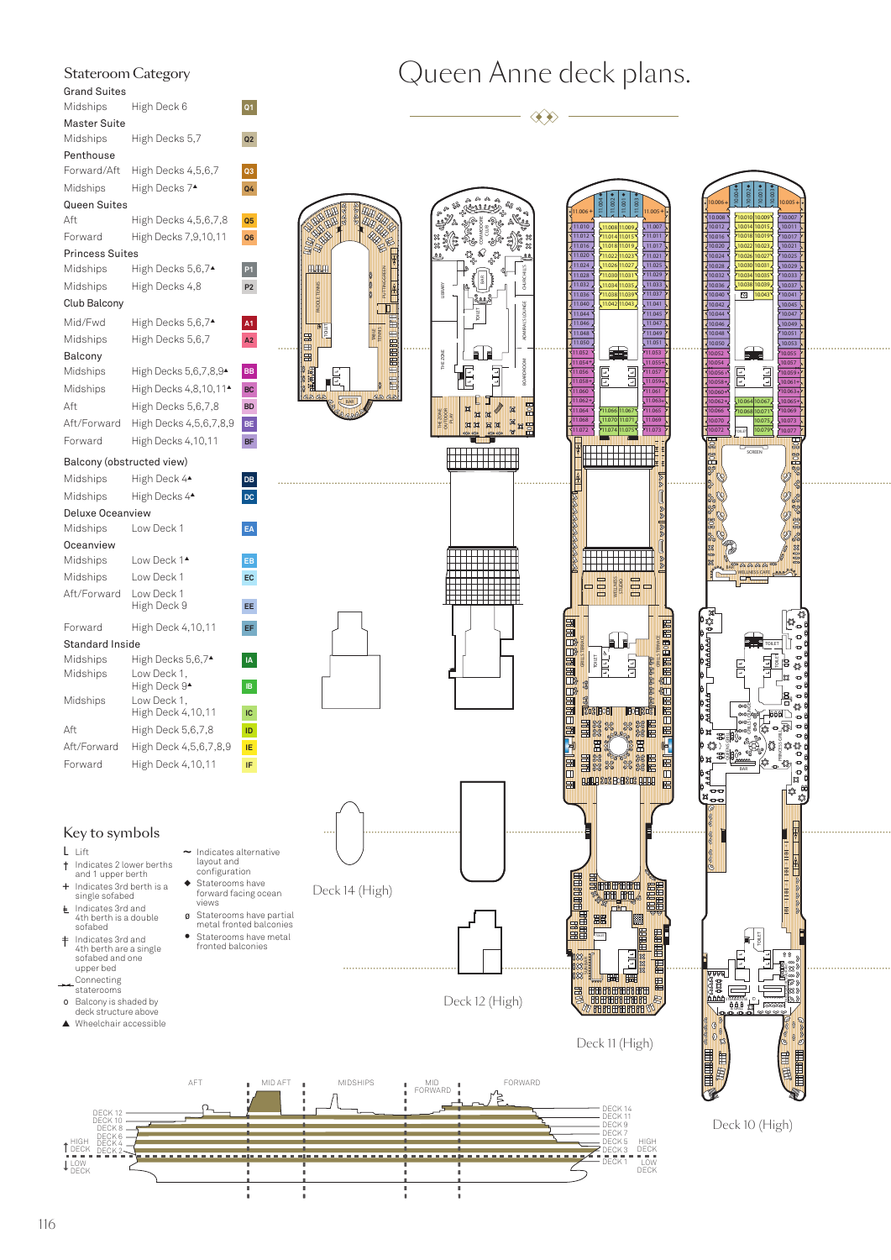| Stateroom Category        |                               |                |
|---------------------------|-------------------------------|----------------|
| <b>Grand Suites</b>       |                               |                |
| Midships                  | High Deck 6                   | Q1             |
| <b>Master Suite</b>       |                               |                |
| Midships                  | High Decks 5,7                | Q <sub>2</sub> |
| Penthouse                 |                               |                |
| Forward/Aft               | High Decks 4,5,6,7            | Q3             |
| Midships                  | High Decks 7▲                 | Q4             |
| Queen Suites              |                               |                |
| Aft                       | High Decks 4,5,6,7,8          | Q <sub>5</sub> |
| Forward                   | High Decks 7,9,10,11          | Q6             |
| <b>Princess Suites</b>    |                               |                |
| Midships                  | High Decks 5,6,7▲             | P <sub>1</sub> |
| Midships                  | High Decks 4,8                | P <sub>2</sub> |
| Club Balcony              |                               |                |
| Mid/Fwd                   | High Decks 5,6,7 <sup>*</sup> | A <sub>1</sub> |
| Midships                  | High Decks 5,6,7              | A2             |
| Balcony                   |                               |                |
| Midships                  | High Decks 5,6,7,8,9▲         | BB             |
| Midships                  | High Decks 4,8,10,11▲         | BC             |
| Aft                       | High Decks 5,6,7,8            | <b>BD</b>      |
| Aft/Forward               | High Decks 4,5,6,7,8,9        | BE             |
| Forward                   | High Decks 4,10,11            | BF             |
| Balcony (obstructed view) |                               |                |
| Midships                  | High Deck 4 <sup>*</sup>      | DB             |
| Midships                  | High Decks 4 <sup>*</sup>     | DC             |
| Deluxe Oceanview          |                               |                |
| Midships                  | Low Deck 1                    | EA             |
| Oceanview                 |                               |                |
| Midships                  | Low Deck 1▲                   | EB             |
| Midships                  | Low Deck 1                    | EC             |
| Aft/Forward               | Low Deck 1<br>High Deck 9     | EE             |
| Forward                   | High Deck 4,10,11             | EF             |
| <b>Standard Inside</b>    |                               |                |
| Midships                  | High Decks 5,6,7▲             | IA             |
| Midships                  | Low Deck 1,<br>High Deck 9▲   | <b>IB</b>      |
| Midships                  | Low Deck 1,                   |                |
|                           | High Deck 4,10,11             | IC             |
| Aft                       | High Deck 5,6,7,8             | ID             |
| Aft/Forward               | High Deck 4,5,6,7,8,9         | ΙĖ             |

## Key to symbols

Forward High Deck 4,10,11 **IF**

- L Lift
- † Indicates 2 lower berths and 1 upper berth
- **+** Indicates 3rd berth is a single sofabed
- Indicates 3rd and 4th berth is a double sofabed
- **|** = Indicates 3rd and 4th berth are a single sofabed and one
- upper bed Connecting staterooms
- 
- o Balcony is shaded by deck structure above

DECK <sup>8</sup> DECK <sup>10</sup> DECK 12

▲ Wheelchair accessible

- ~ Indicates alternative layout and configuration ◆ Staterooms have
	- forward facing ocean views
- Staterooms have metal fronted balconies
- ø Staterooms have partial metal fronted balconies

AFT **I** MIDAFT **I** MIDSHIPS



TOILET

E **THE RE** 

BAR

PUTTING GREEN

 $\Box$ 

Œ E LIBRARY

BAR<sup>1</sup> & COMMODORE CLUB

TOILET

 $\mathsf{H}$ 

C 5 \$

್ ಜ ಜ ®<br>ಜಜ ಜಜ  $23$ 

 $\frac{1}{\sqrt{10}}$  $\frac{\infty}{\ln}$ 

THE ZONE

THE ZONE<br>QUITDOOR PLAY

TABLE TENNIS

DECK 2 DECK 2 DECK 2 DECK 2 DECK 2 DECK 2 DECK 2 DECK 2 DECK 2 DECK 2 DECK 2 DECK 2 DECK 2 DECK 2 DECK 2 DECK <br>DECK 4 DECK 9 DECK 3 DECK 3 DECK 3 DECK 3 DECK 3 DECK 3 DECK 3 DECK 3 DECK 3 DECK 3 DECK 3 DECK 3 DECK 3 DECK

high deck in the contract of the contract of the contract of the contract of the contract of the contract of the contract of the contract of the contract of the contract of the contract of the contract of the contract of t



MID<br>FORWARD

Deck 12 (High)

FORWARD



SUN BAR

188

田田

TOILET

**EUTHER** 

DECK 9 DECK 11 DECK 14

DECK 1 DECK 3 HIGH DECK LOW DECK



11.051 11.049 11.047 11.045 11.041 11.037 11.033 11.029 11.025 11.021 11.017 11.011 11.007

10.053 10.051 10.049 10.047 10.045 10.041 10.037 10.033 10.029 10.025 10.021 10.017 10.011 10.007 10.005

10.043 10.039 10.035 10.031 10.027 10.023 10.019 10.015 10.009

10.001

◆**K K** ◆

10.038 10.034 10.030 10.026 10.022 10.018 10.014 10.010

 $\overline{\circ}$ 

10.050 10.048 10.046 10.044 10.042 10.040 10.036 10.032 10.028 10.024 10.020 10.016 10.012 10.008 10.006

11.005

11.075 11.071 11.067

급

11.074 11.070 11.066

WELLNESS

1 **Taller** 

11.072 11.068 11.064 11.062 11.060 11.058 11.056 11.054 11.052 11.050 11.048 11.046 11.044 11.040 11.036 11.032 11.028 11.024 11.020 11.016 11.012 11.010 11.006

A

**GRILLS TERRACE** TOILET

E

的曾曾丽丽曾曾丽丽

m

国国

11.043 11.039 11.035 11.031 11.027 11.023 11.019 11.015 11.009

11.042 11.034 11.038 11.026 11.030 11.018 11.022 11.008 11.014

◆◆◆◆

**+**

## Queen Anne deck plans.

 $\textcircled{\ast}$ 

BOARDROOM ADMIRAL'S LOUNGE CHURCHILL'S

23

 $\sum_{n=1}^{\infty}$  $\downarrow$  LO<sub>E</sub>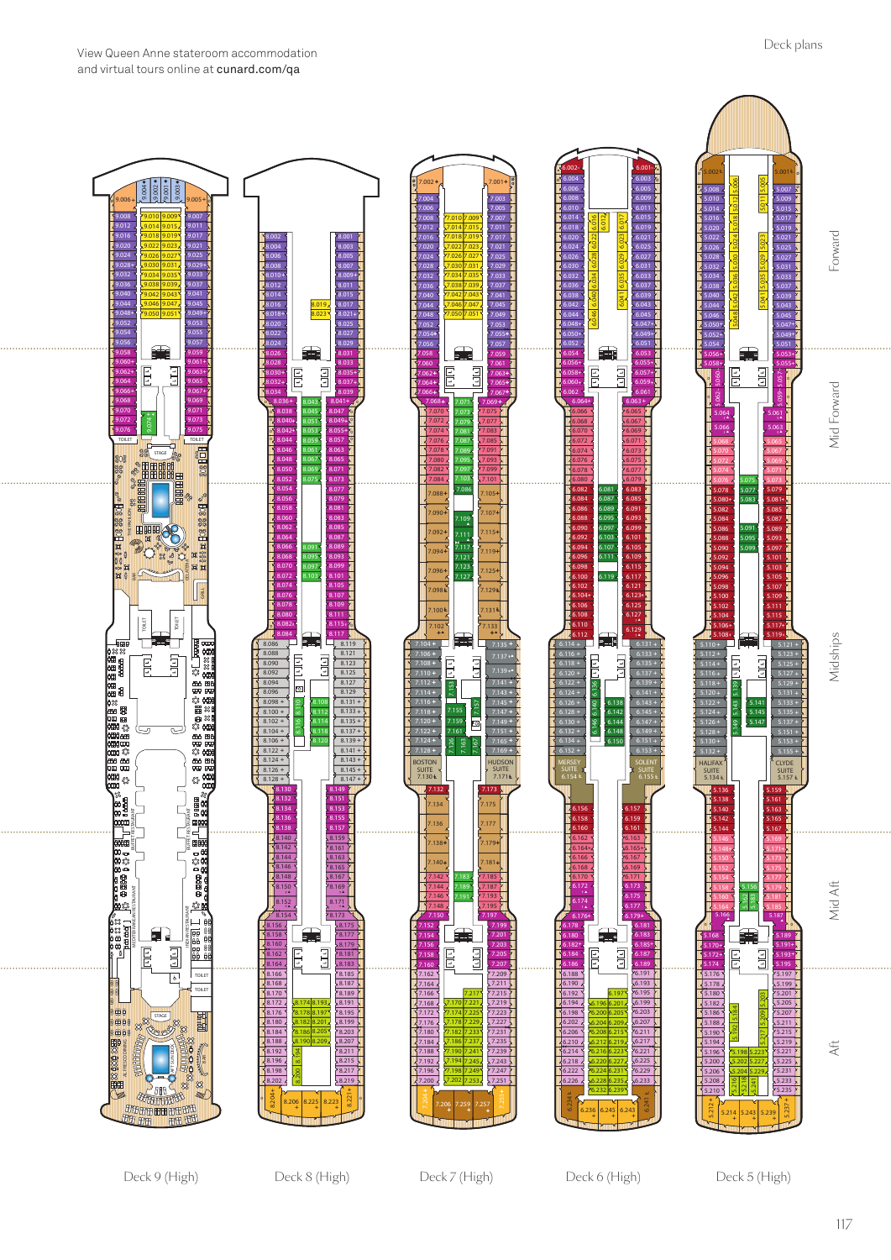Deck 6 (High)